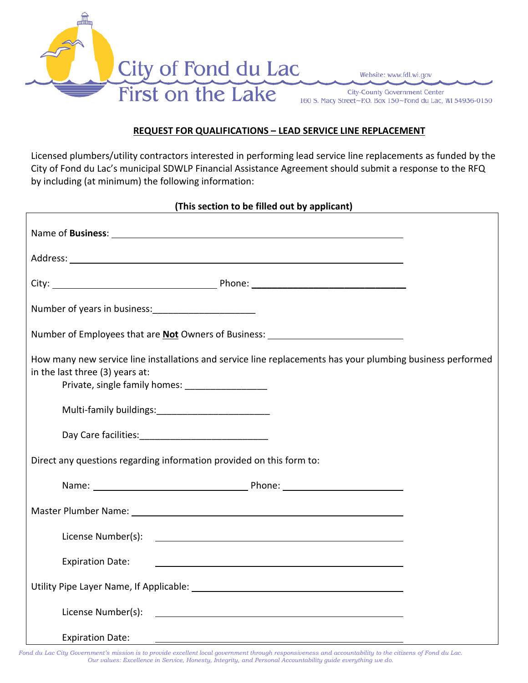

Website: www.fdl.wi.gov

**City-County Government Center** 160 S. Macy Street~P.O. Box 150~Fond du Lac, WI 54936-0150

## **REQUEST FOR QUALIFICATIONS – LEAD SERVICE LINE REPLACEMENT**

Licensed plumbers/utility contractors interested in performing lead service line replacements as funded by the City of Fond du Lac's municipal SDWLP Financial Assistance Agreement should submit a response to the RFQ by including (at minimum) the following information:

## **(This section to be filled out by applicant)**

| Name of Business: 1998 and 2008 and 2008 and 2008 and 2008 and 2008 and 2008 and 2008 and 2008 and 2008 and 20 |                                                                                                                     |
|----------------------------------------------------------------------------------------------------------------|---------------------------------------------------------------------------------------------------------------------|
|                                                                                                                |                                                                                                                     |
|                                                                                                                |                                                                                                                     |
| Number of years in business: [14] Number of years in business:                                                 |                                                                                                                     |
| Number of Employees that are <b>Not</b> Owners of Business: __________________________                         |                                                                                                                     |
| in the last three (3) years at:                                                                                | How many new service line installations and service line replacements has your plumbing business performed          |
| Multi-family buildings: Multi-family buildings:                                                                |                                                                                                                     |
|                                                                                                                |                                                                                                                     |
| Direct any questions regarding information provided on this form to:                                           |                                                                                                                     |
|                                                                                                                |                                                                                                                     |
|                                                                                                                |                                                                                                                     |
|                                                                                                                |                                                                                                                     |
| <b>Expiration Date:</b>                                                                                        | <u> 1989 - Johann Barbara, martxa alemaniar arg</u>                                                                 |
|                                                                                                                |                                                                                                                     |
| License Number(s):                                                                                             | <u> 1989 - Jan Samuel Barbara, margaret e popular e popular e popular e popular e popular e popular e popular e</u> |
| <b>Expiration Date:</b>                                                                                        | and the control of the control of the control of the control of the control of the control of the control of the    |

*Fond du Lac City Government's mission is to provide excellent local government through responsiveness and accountability to the citizens of Fond du Lac. Our values: Excellence in Service, Honesty, Integrity, and Personal Accountability guide everything we do.*